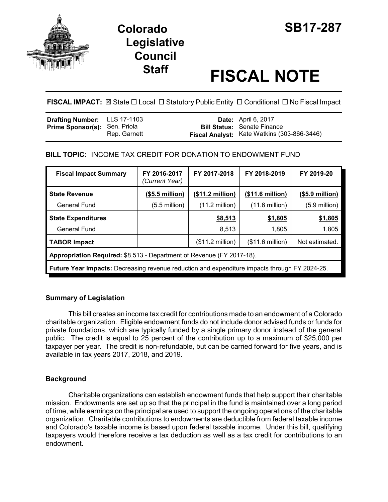

# **Colorado SB17-287 Legislative Council**

# **Staff FISCAL NOTE**

**FISCAL IMPACT:**  $\boxtimes$  State  $\Box$  Local  $\Box$  Statutory Public Entity  $\Box$  Conditional  $\Box$  No Fiscal Impact

| <b>Drafting Number:</b> LLS 17-1103  |              | <b>Date:</b> April 6, 2017                                                        |
|--------------------------------------|--------------|-----------------------------------------------------------------------------------|
| <b>Prime Sponsor(s): Sen. Priola</b> | Rep. Garnett | <b>Bill Status: Senate Finance</b><br>Fiscal Analyst: Kate Watkins (303-866-3446) |

## **BILL TOPIC:** INCOME TAX CREDIT FOR DONATION TO ENDOWMENT FUND

| <b>Fiscal Impact Summary</b>                                                                         | FY 2016-2017<br>(Current Year) | FY 2017-2018              | FY 2018-2019             | FY 2019-20       |  |  |  |
|------------------------------------------------------------------------------------------------------|--------------------------------|---------------------------|--------------------------|------------------|--|--|--|
| <b>State Revenue</b>                                                                                 | $($5.5$ million)               | (\$11.2 million)          | (\$11.6 million)         | $($5.9$ million) |  |  |  |
| <b>General Fund</b>                                                                                  | $(5.5 \text{ million})$        | $(11.2 \text{ million})$  | $(11.6 \text{ million})$ | $(5.9$ million)  |  |  |  |
| <b>State Expenditures</b>                                                                            |                                | \$8,513                   | \$1,805                  | \$1,805          |  |  |  |
| <b>General Fund</b>                                                                                  |                                | 8,513                     | 1,805                    | 1,805            |  |  |  |
| <b>TABOR Impact</b>                                                                                  |                                | $($11.2 \text{ million})$ | (\$11.6 million)         | Not estimated.   |  |  |  |
| Appropriation Required: \$8,513 - Department of Revenue (FY 2017-18).                                |                                |                           |                          |                  |  |  |  |
| <b>Future Year Impacts:</b> Decreasing revenue reduction and expenditure impacts through FY 2024-25. |                                |                           |                          |                  |  |  |  |

### **Summary of Legislation**

This bill creates an income tax credit for contributions made to an endowment of a Colorado charitable organization. Eligible endowment funds do not include donor advised funds or funds for private foundations, which are typically funded by a single primary donor instead of the general public. The credit is equal to 25 percent of the contribution up to a maximum of \$25,000 per taxpayer per year. The credit is non-refundable, but can be carried forward for five years, and is available in tax years 2017, 2018, and 2019.

# **Background**

Charitable organizations can establish endowment funds that help support their charitable mission. Endowments are set up so that the principal in the fund is maintained over a long period of time, while earnings on the principal are used to support the ongoing operations of the charitable organization. Charitable contributions to endowments are deductible from federal taxable income and Colorado's taxable income is based upon federal taxable income. Under this bill, qualifying taxpayers would therefore receive a tax deduction as well as a tax credit for contributions to an endowment.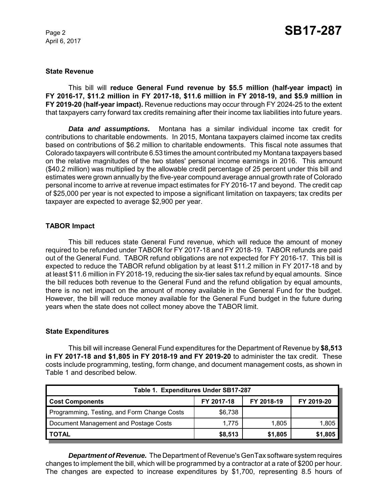April 6, 2017

#### **State Revenue**

This bill will **reduce General Fund revenue by \$5.5 million (half-year impact) in FY 2016-17, \$11.2 million in FY 2017-18, \$11.6 million in FY 2018-19, and \$5.9 million in FY 2019-20 (half-year impact).** Revenue reductions may occur through FY 2024-25 to the extent that taxpayers carry forward tax credits remaining after their income tax liabilities into future years.

*Data and assumptions.* Montana has a similar individual income tax credit for contributions to charitable endowments. In 2015, Montana taxpayers claimed income tax credits based on contributions of \$6.2 million to charitable endowments. This fiscal note assumes that Colorado taxpayers will contribute 6.53 times the amount contributed my Montana taxpayers based on the relative magnitudes of the two states' personal income earnings in 2016. This amount (\$40.2 million) was multiplied by the allowable credit percentage of 25 percent under this bill and estimates were grown annually by the five-year compound average annual growth rate of Colorado personal income to arrive at revenue impact estimates for FY 2016-17 and beyond. The credit cap of \$25,000 per year is not expected to impose a significant limitation on taxpayers; tax credits per taxpayer are expected to average \$2,900 per year.

#### **TABOR Impact**

This bill reduces state General Fund revenue, which will reduce the amount of money required to be refunded under TABOR for FY 2017-18 and FY 2018-19. TABOR refunds are paid out of the General Fund. TABOR refund obligations are not expected for FY 2016-17. This bill is expected to reduce the TABOR refund obligation by at least \$11.2 million in FY 2017-18 and by at least \$11.6 million in FY 2018-19, reducing the six-tier sales tax refund by equal amounts. Since the bill reduces both revenue to the General Fund and the refund obligation by equal amounts, there is no net impact on the amount of money available in the General Fund for the budget. However, the bill will reduce money available for the General Fund budget in the future during years when the state does not collect money above the TABOR limit.

#### **State Expenditures**

This bill will increase General Fund expenditures for the Department of Revenue by **\$8,513 in FY 2017-18 and \$1,805 in FY 2018-19 and FY 2019-20** to administer the tax credit. These costs include programming, testing, form change, and document management costs, as shown in Table 1 and described below.

| Table 1. Expenditures Under SB17-287        |            |            |            |  |  |  |
|---------------------------------------------|------------|------------|------------|--|--|--|
| <b>Cost Components</b>                      | FY 2017-18 | FY 2018-19 | FY 2019-20 |  |  |  |
| Programming, Testing, and Form Change Costs | \$6,738    |            |            |  |  |  |
| Document Management and Postage Costs       | 1.775      | 1.805      | 1,805      |  |  |  |
| <b>TOTAL</b>                                | \$8,513    | \$1,805    | \$1,805    |  |  |  |

*Department of Revenue.* The Department of Revenue's GenTax software system requires changes to implement the bill, which will be programmed by a contractor at a rate of \$200 per hour. The changes are expected to increase expenditures by \$1,700, representing 8.5 hours of